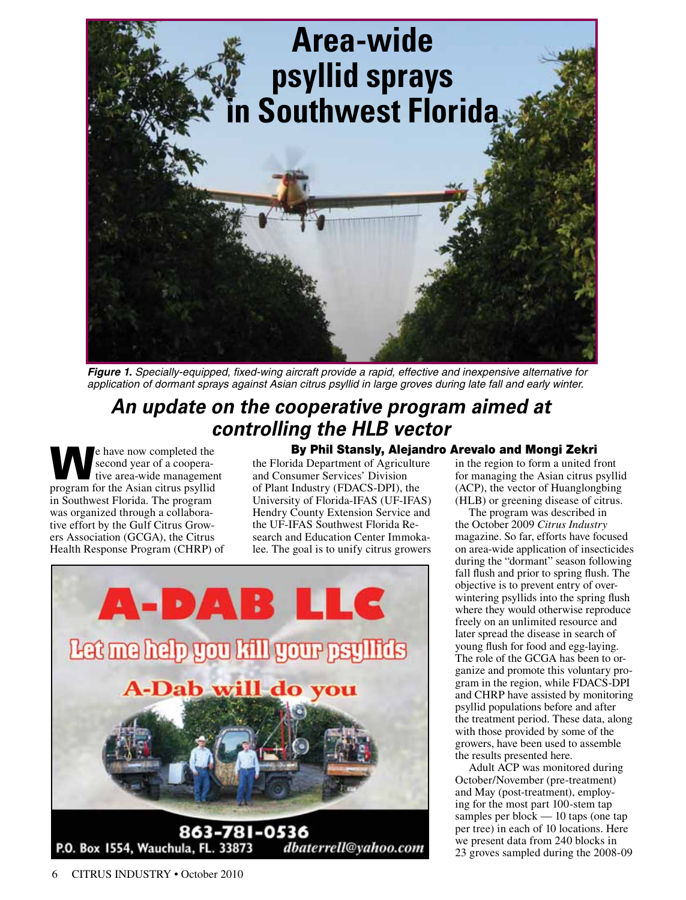

*Figure 1. Specially-equipped, fixed-wing aircraft provide a rapid, effective and inexpensive alternative for application of dormant sprays against Asian citrus psyllid in large groves during late fall and early winter.*

## *An update on the cooperative program aimed at controlling the HLB vector* By Phil Stansly, Alejandro Arevalo and Mongi Zekri

Example have now completed the<br>second year of a coopera-<br>tive area-wide management second year of a cooperative area-wide management program for the Asian citrus psyllid in Southwest Florida. The program was organized through a collaborative effort by the Gulf Citrus Growers Association (GCGA), the Citrus Health Response Program (CHRP) of

the Florida Department of Agriculture and Consumer Services' Division of Plant Industry (FDACS-DPI), the University of Florida-IFAS (UF-IFAS) Hendry County Extension Service and the UF-IFAS Southwest Florida Research and Education Center Immokalee. The goal is to unify citrus growers



in the region to form a united front for managing the Asian citrus psyllid (ACP), the vector of Huanglongbing (HLB) or greening disease of citrus.

The program was described in the October 2009 *Citrus Industry* magazine. So far, efforts have focused on area-wide application of insecticides during the "dormant" season following fall flush and prior to spring flush. The objective is to prevent entry of overwintering psyllids into the spring flush where they would otherwise reproduce freely on an unlimited resource and later spread the disease in search of young flush for food and egg-laying. The role of the GCGA has been to organize and promote this voluntary program in the region, while FDACS-DPI and CHRP have assisted by monitoring psyllid populations before and after the treatment period. These data, along with those provided by some of the growers, have been used to assemble the results presented here.

Adult ACP was monitored during October/November (pre-treatment) and May (post-treatment), employing for the most part 100-stem tap samples per block — 10 taps (one tap per tree) in each of 10 locations. Here we present data from 240 blocks in 23 groves sampled during the 2008-09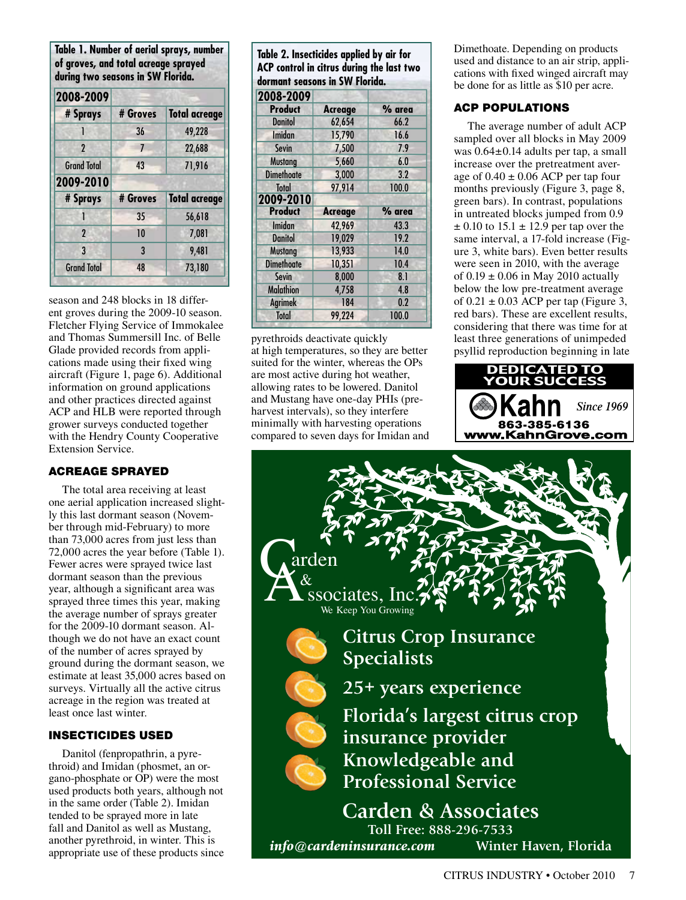**Table 1. Number of aerial sprays, number of groves, and total acreage sprayed during two seasons in SW Florida. 2008-2009 2009-2010 # Sprays # Groves Total acreage # Sprays # Groves Total acreage** 1 36 49,228 2 7 22,688 Grand Total **43** 71,916 1 35 56,618 2 10 7,081 3 3 9,481 Grand Total 48 73,180

season and 248 blocks in 18 different groves during the 2009-10 season. Fletcher Flying Service of Immokalee  $\Box$ and Thomas Summersill Inc. of Belle Glade provided records from applications made using their fixed wing aircraft (Figure 1, page 6). Additional information on ground applications and other practices directed against ACP and HLB were reported through grower surveys conducted together with the Hendry County Cooperative Extension Service.

### ACREAGE SPRAYED

The total area receiving at least one aerial application increased slightly this last dormant season (November through mid-February) to more than 73,000 acres from just less than 72,000 acres the year before (Table 1). Fewer acres were sprayed twice last dormant season than the previous year, although a significant area was sprayed three times this year, making the average number of sprays greater for the 2009-10 dormant season. Although we do not have an exact count of the number of acres sprayed by ground during the dormant season, we estimate at least 35,000 acres based on surveys. Virtually all the active citrus acreage in the region was treated at least once last winter.

### INSECTICIDES USED

Danitol (fenpropathrin, a pyrethroid) and Imidan (phosmet, an organo-phosphate or OP) were the most used products both years, although not in the same order (Table 2). Imidan tended to be sprayed more in late fall and Danitol as well as Mustang, another pyrethroid, in winter. This is appropriate use of these products since

| Table 2. Insecticides applied by air for  |
|-------------------------------------------|
| ACP control in citrus during the last two |
| dormant seasons in SW Florida.            |
| DAAA DAAA                                 |

| 2008-2009         |                |        |
|-------------------|----------------|--------|
| <b>Product</b>    | <b>Acreage</b> | % area |
| <b>Danitol</b>    | 62,654         | 66.2   |
| Imidan            | 15,790         | 16.6   |
| <b>Sevin</b>      | 7,500          | 7.9    |
| <b>Mustang</b>    | 5,660          | 6.0    |
| <b>Dimethoate</b> | 3,000          | 3.2    |
| Total             | 97,914         | 100.0  |
| 2009-2010         |                |        |
| <b>Product</b>    | <b>Acreage</b> | % area |
| Imidan            | 42,969         | 43.3   |
| <b>Danitol</b>    | 19,029         | 19.2   |
| <b>Mustang</b>    | 13,933         | 14.0   |
|                   |                |        |
| <b>Dimethoate</b> | 10,351         | 10.4   |
| <b>Sevin</b>      | 8,000          | 8.1    |
| <b>Malathion</b>  | 4,758          | 4.8    |
| <b>Agrimek</b>    | 184            | 0.2    |

pyrethroids deactivate quickly at high temperatures, so they are better suited for the winter, whereas the OPs suited for the winter, whereas the OPs<br>are most active during hot weather, allowing rates to be lowered. Danitol and Mustang have one-day PHIs (preharvest intervals), so they interfere minimally with harvesting operations compared to seven days for Imidan and

Dimethoate. Depending on products used and distance to an air strip, applications with fixed winged aircraft may be done for as little as \$10 per acre.

## ACP POPULATIONS

The average number of adult ACP sampled over all blocks in May 2009 was 0.64±0.14 adults per tap, a small increase over the pretreatment average of  $0.40 \pm 0.06$  ACP per tap four months previously (Figure 3, page 8, green bars). In contrast, populations in untreated blocks jumped from 0.9  $\pm$  0.10 to 15.1  $\pm$  12.9 per tap over the same interval, a 17-fold increase (Figure 3, white bars). Even better results were seen in 2010, with the average of  $0.19 \pm 0.06$  in May 2010 actually below the low pre-treatment average of  $0.21 \pm 0.03$  ACP per tap (Figure 3, red bars). These are excellent results, considering that there was time for at For APRIL CITY AND THE FORM ADDED TO THE CONSTRUCTING THE TELL OF AM PAGE 1. psyllid reproduction beginning in late